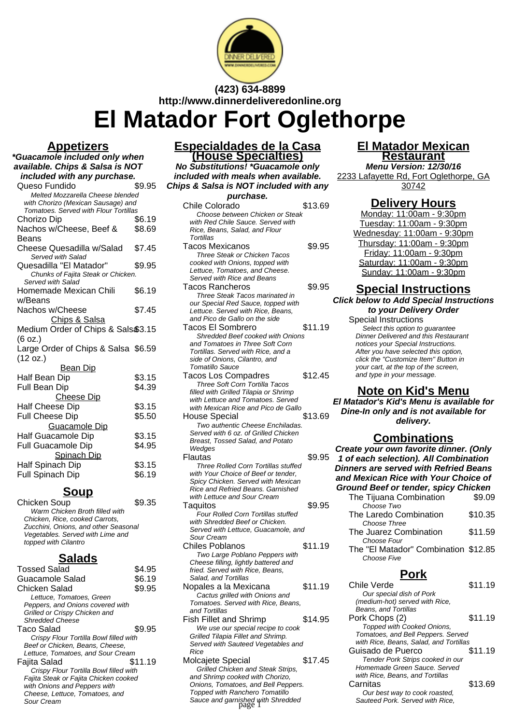

**(423) 634-8899 http://www.dinnerdeliveredonline.org**

**El Matador Fort Oglethorpe**

### **Appetizers**

**\*Guacamole included only when available. Chips & Salsa is NOT included with any purchase.** Queso Fundido

| Melted Mozzarella Cheese blended<br>with Chorizo (Mexican Sausage) and |        |
|------------------------------------------------------------------------|--------|
| Tomatoes. Served with Flour Tortillas                                  |        |
| Chorizo Dip                                                            | \$6.19 |
| Nachos w/Cheese, Beef &                                                | \$8.69 |
| Beans                                                                  |        |
| Cheese Quesadilla w/Salad                                              | \$7.45 |
| Served with Salad                                                      |        |
| Quesadilla "El Matador"                                                | \$9.95 |
| Chunks of Fajita Steak or Chicken.                                     |        |
| Served with Salad                                                      |        |
| Homemade Mexican Chili                                                 | \$6.19 |
| w/Beans                                                                |        |
| Nachos w/Cheese                                                        | \$7.45 |
| <b>Chips &amp; Salsa</b>                                               |        |
| Medium Order of Chips & Sals\$3.15                                     |        |
| (6 oz.)                                                                |        |
| Large Order of Chips & Salsa \$6.59                                    |        |
| (12 oz.)                                                               |        |
| <u>Bean Dip</u>                                                        |        |
| Half Bean Dip                                                          | \$3.15 |
| Full Bean Dip                                                          | \$4.39 |
| <b>Cheese Dip</b>                                                      |        |
| <b>Half Cheese Dip</b>                                                 | \$3.15 |
| <b>Full Cheese Dip</b>                                                 | \$5.50 |
| Guacamole Dip                                                          |        |
| Half Guacamole Dip                                                     | \$3.15 |
| Full Guacamole Dip                                                     | \$4.95 |
| <b>Spinach Dip</b>                                                     |        |
| Half Spinach Dip                                                       | \$3.15 |
|                                                                        |        |
| Full Spinach Dip                                                       | \$6.19 |

### **Soup**

Chicken Soup \$9.35 Warm Chicken Broth filled with Chicken, Rice, cooked Carrots, Zucchini, Onions, and other Seasonal Vegetables. Served with Lime and topped with Cilantro

### **Salads**

| <b>Tossed Salad</b>                    | S4.95   |
|----------------------------------------|---------|
| Guacamole Salad                        | \$6.19  |
| Chicken Salad                          | \$9.95  |
| Lettuce, Tomatoes, Green               |         |
| Peppers, and Onions covered with       |         |
| Grilled or Crispy Chicken and          |         |
| <b>Shredded Cheese</b>                 |         |
| Taco Salad                             | \$9.95  |
| Crispy Flour Tortilla Bowl filled with |         |
| Beef or Chicken, Beans, Cheese,        |         |
| Lettuce, Tomatoes, and Sour Cream      |         |
| Fajita Salad                           | \$11.19 |
| Crispy Flour Tortilla Bowl filled with |         |
| Fajita Steak or Fajita Chicken cooked  |         |
| with Onions and Peppers with           |         |
| Cheese, Lettuce, Tomatoes, and         |         |
| Sour Cream                             |         |
|                                        |         |

### **Especialdades de la Casa (House Specialties)**

**No Substitutions! \*Guacamole only included with meals when available. Chips & Salsa is NOT included with any**

| purchase.                                                               |         |
|-------------------------------------------------------------------------|---------|
| <b>Chile Colorado</b>                                                   | \$13.69 |
| Choose between Chicken or Steak                                         |         |
| with Red Chile Sauce, Served with                                       |         |
| Rice, Beans, Salad, and Flour                                           |         |
| Tortillas                                                               |         |
| <b>Tacos Mexicanos</b>                                                  | \$9.95  |
| Three Steak or Chicken Tacos                                            |         |
| cooked with Onions, topped with                                         |         |
| Lettuce, Tomatoes, and Cheese.                                          |         |
| Served with Rice and Beans                                              |         |
| Tacos Rancheros                                                         | \$9.95  |
| Three Steak Tacos marinated in                                          |         |
| our Special Red Sauce, topped with                                      |         |
| Lettuce. Served with Rice, Beans,                                       |         |
| and Pico de Gallo on the side                                           |         |
| Tacos El Sombrero                                                       | \$11.19 |
| <b>Shredded Beef cooked with Onions</b>                                 |         |
| and Tomatoes in Three Soft Corn                                         |         |
| Tortillas. Served with Rice, and a<br>side of Onions, Cilantro, and     |         |
| Tomatillo Sauce                                                         |         |
| <b>Tacos Los Compadres</b>                                              | \$12.45 |
| Three Soft Corn Tortilla Tacos                                          |         |
| filled with Grilled Tilapia or Shrimp                                   |         |
| with Lettuce and Tomatoes. Served                                       |         |
| with Mexican Rice and Pico de Gallo                                     |         |
| House Special                                                           | \$13.69 |
| Two authentic Cheese Enchiladas.                                        |         |
| Served with 6 oz. of Grilled Chicken                                    |         |
| Breast, Tossed Salad, and Potato                                        |         |
| Wedges                                                                  |         |
| Flautas                                                                 | \$9.95  |
| <b>Three Rolled Corn Tortillas stuffed</b>                              |         |
| with Your Choice of Beef or tender,                                     |         |
| Spicy Chicken. Served with Mexican                                      |         |
| Rice and Refried Beans. Garnished                                       |         |
| with Lettuce and Sour Cream                                             |         |
| Taquitos                                                                | \$9.95  |
| Four Rolled Corn Tortillas stuffed                                      |         |
| with Shredded Beef or Chicken.                                          |         |
| Served with Lettuce, Guacamole, and                                     |         |
| Sour Cream<br><b>Chiles Poblanos</b>                                    |         |
|                                                                         | \$11.19 |
| Two Large Poblano Peppers with                                          |         |
| Cheese filling, lightly battered and<br>fried. Served with Rice, Beans, |         |
| Salad, and Tortillas                                                    |         |
| Nopales a la Mexicana                                                   | \$11.19 |
| Cactus grilled with Onions and                                          |         |
| Tomatoes. Served with Rice, Beans,                                      |         |
| and Tortillas                                                           |         |
| <b>Fish Fillet and Shrimp</b>                                           | \$14.95 |
| We use our special recipe to cook                                       |         |
| Grilled Tilapia Fillet and Shrimp.                                      |         |
| Served with Sauteed Vegetables and                                      |         |
| Rice                                                                    |         |
| Molcajete Special                                                       | \$17.45 |
| Grilled Chicken and Steak Strips,                                       |         |
| and Shrimp cooked with Chorizo,                                         |         |

### **El Matador Mexican Restaurant**

**Menu Version: 12/30/16** 2233 Lafayette Rd, Fort Oglethorpe, GA 30742

### **Delivery Hours**

Monday: 11:00am - 9:30pm Tuesday: 11:00am - 9:30pm Wednesday: 11:00am - 9:30pm Thursday: 11:00am - 9:30pm Friday: 11:00am - 9:30pm Saturday: 11:00am - 9:30pm Sunday: 11:00am - 9:30pm

#### **Special Instructions**

#### **Click below to Add Special Instructions to your Delivery Order**

Special Instructions Select this option to quarantee Dinner Delivered and this Restaurant notices your Special Instructions. After you have selected this option,

click the "Customize Item" Button in your cart, at the top of the screen, and type in your message.

#### **Note on Kid's Menu**

**El Matador's Kid's Menu is available for Dine-In only and is not available for delivery.**

### **Combinations**

**Create your own favorite dinner. (Only 1 of each selection). All Combination Dinners are served with Refried Beans and Mexican Rice with Your Choice of Ground Beef or tender, spicy Chicken**

| produce been or tender, spicy onichen |         |
|---------------------------------------|---------|
| The Tijuana Combination               | \$9.09  |
| Choose Two                            |         |
| The Laredo Combination                | \$10.35 |
| Choose Three                          |         |
| The Juarez Combination                | \$11.59 |
| Choose Four                           |         |
| The "El Matador" Combination \$12.85  |         |
| Choose Five                           |         |

### **Pork**

| Chile Verde                                                                                                                                                                                                                                                                                                                                                                                                                   | \$11.19 |
|-------------------------------------------------------------------------------------------------------------------------------------------------------------------------------------------------------------------------------------------------------------------------------------------------------------------------------------------------------------------------------------------------------------------------------|---------|
| Our special dish of Pork                                                                                                                                                                                                                                                                                                                                                                                                      |         |
| (medium-hot) served with Rice,                                                                                                                                                                                                                                                                                                                                                                                                |         |
| Beans, and Tortillas                                                                                                                                                                                                                                                                                                                                                                                                          |         |
| Pork Chops (2)                                                                                                                                                                                                                                                                                                                                                                                                                | \$11.19 |
| Topped with Cooked Onions,                                                                                                                                                                                                                                                                                                                                                                                                    |         |
| Tomatoes, and Bell Peppers. Served                                                                                                                                                                                                                                                                                                                                                                                            |         |
| with Rice, Beans, Salad, and Tortillas                                                                                                                                                                                                                                                                                                                                                                                        |         |
| Guisado de Puerco                                                                                                                                                                                                                                                                                                                                                                                                             | \$11.19 |
| Tender Pork Strips cooked in our                                                                                                                                                                                                                                                                                                                                                                                              |         |
| Homemade Green Sauce. Served                                                                                                                                                                                                                                                                                                                                                                                                  |         |
| with Rice, Beans, and Tortillas                                                                                                                                                                                                                                                                                                                                                                                               |         |
| Carnitas                                                                                                                                                                                                                                                                                                                                                                                                                      | \$13.69 |
| Our best way to cook roasted,                                                                                                                                                                                                                                                                                                                                                                                                 |         |
| Sauteed Pork. Served with Rice.                                                                                                                                                                                                                                                                                                                                                                                               |         |
| \$11.19<br>Cactus grilled with Onions and<br>Tomatoes. Served with Rice, Beans,<br>\$14.95<br>We use our special recipe to cook<br>Grilled Tilapia Fillet and Shrimp.<br>Served with Sauteed Vegetables and<br>\$17.45<br>Grilled Chicken and Steak Strips,<br>and Shrimp cooked with Chorizo,<br>Onions, Tomatoes, and Bell Peppers.<br><b>Topped with Ranchero Tomatillo</b><br>Sauce and garnished with Shredded<br>page 1 |         |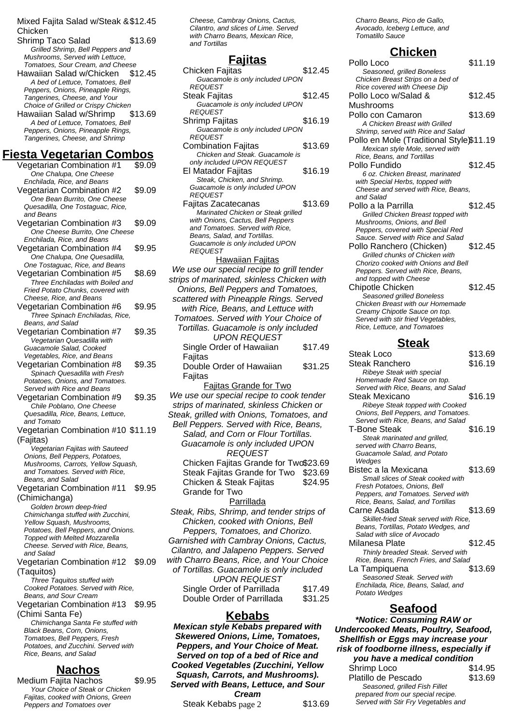#### Mixed Fajita Salad w/Steak & \$12.45 **Chicken**

Shrimp Taco Salad \$13.69 Grilled Shrimp, Bell Peppers and Mushrooms, Served with Lettuce, Tomatoes, Sour Cream, and Cheese Hawaiian Salad w/Chicken \$12.45 A bed of Lettuce, Tomatoes, Bell Peppers, Onions, Pineapple Rings, Tangerines, Cheese, and Your Choice of Grilled or Crispy Chicken Hawaiian Salad w/Shrimp \$13.69 A bed of Lettuce, Tomatoes, Bell Peppers, Onions, Pineapple Rings, Tangerines, Cheese, and Shrimp **Fiesta Vegetarian Combos** Vegetarian Combination #1 \$9.09 One Chalupa, One Cheese Enchilada, Rice, and Beans Vegetarian Combination #2 \$9.09 One Bean Burrito, One Cheese Quesadilla, One Tostaguac, Rice, and Beans Vegetarian Combination #3 \$9.09 One Cheese Burrito, One Cheese Enchilada, Rice, and Beans Vegetarian Combination #4 \$9.95 One Chalupa, One Quesadilla, One Tostaguac, Rice, and Beans Vegetarian Combination #5 \$8.69 Three Enchiladas with Boiled and Fried Potato Chunks, covered with Cheese, Rice, and Beans Vegetarian Combination #6 \$9.95 Three Spinach Enchiladas, Rice, Beans, and Salad Vegetarian Combination #7 \$9.35 Vegetarian Quesadilla with Guacamole Salad, Cooked Vegetables, Rice, and Beans Vegetarian Combination #8 \$9.35 Spinach Quesadilla with Fresh Potatoes, Onions, and Tomatoes. Served with Rice and Beans Vegetarian Combination #9 \$9.35 Chile Poblano, One Cheese Quesadilla, Rice, Beans, Lettuce, and Tomato Vegetarian Combination #10 \$11.19 (Fajitas) Vegetarian Fajitas with Sauteed Onions, Bell Peppers, Potatoes, Mushrooms, Carrots, Yellow Squash, and Tomatoes. Served with Rice, Beans, and Salad Vegetarian Combination #11 \$9.95 (Chimichanga) Golden brown deep-fried Chimichanga stuffed with Zucchini, Yellow Squash, Mushrooms, Potatoes, Bell Peppers, and Onions. Topped with Melted Mozzarella Cheese. Served with Rice, Beans, and Salad Vegetarian Combination #12 \$9.09 (Taquitos) Three Taquitos stuffed with Cooked Potatoes. Served with Rice, Beans, and Sour Cream Vegetarian Combination #13 \$9.95 (Chimi Santa Fe) Chimichanga Santa Fe stuffed with Black Beans, Corn, Onions, Tomatoes, Bell Peppers, Fresh Potatoes, and Zucchini. Served with Rice, Beans, and Salad

## **Nachos**

Medium Fajita Nachos \$9.95 Your Choice of Steak or Chicken Fajitas, cooked with Onions, Green Peppers and Tomatoes over

Cheese, Cambray Onions, Cactus, Cilantro, and slices of Lime. Served with Charro Beans, Mexican Rice, and Tortillas

### **Fajitas**

| <u>ι αμιασ</u>                                                                     |         |
|------------------------------------------------------------------------------------|---------|
| Chicken Fajitas                                                                    | \$12.45 |
| Guacamole is only included UPON<br><b>REQUEST</b>                                  |         |
| Steak Fajitas                                                                      | \$12.45 |
| Guacamole is only included UPON                                                    |         |
| REQUEST<br>Shrimp Fajitas                                                          | \$16.19 |
| Guacamole is only included UPON                                                    |         |
| <i>REQUEST</i>                                                                     |         |
| <b>Combination Fajitas</b>                                                         | \$13.69 |
| Chicken and Steak. Guacamole is<br>only included UPON REQUEST                      |         |
| El Matador Fajitas                                                                 | \$16.19 |
| Steak, Chicken, and Shrimp.                                                        |         |
| Guacamole is only included UPON                                                    |         |
| <b>REQUEST</b><br>Fajitas Zacatecanas                                              | \$13.69 |
| Marinated Chicken or Steak grilled                                                 |         |
| with Onions, Cactus, Bell Peppers                                                  |         |
| and Tomatoes. Served with Rice,                                                    |         |
| Beans, Salad, and Tortillas.<br>Guacamole is only included UPON                    |         |
| REQUEST                                                                            |         |
| <b>Hawaiian Fajitas</b>                                                            |         |
| We use our special recipe to grill tender                                          |         |
| strips of marinated, skinless Chicken with                                         |         |
| Onions, Bell Peppers and Tomatoes,                                                 |         |
| scattered with Pineapple Rings. Served<br>with Rice, Beans, and Lettuce with       |         |
| Tomatoes. Served with Your Choice of                                               |         |
| Tortillas. Guacamole is only included                                              |         |
| <b>UPON REQUEST</b>                                                                |         |
| Single Order of Hawaiian                                                           | \$17.49 |
| Fajitas                                                                            |         |
| Double Order of Hawaiian                                                           | \$31.25 |
| Fajitas                                                                            |         |
| <b>Fajitas Grande for Two</b>                                                      |         |
| We use our special recipe to cook tender                                           |         |
| strips of marinated, skinless Chicken or                                           |         |
| Steak, grilled with Onions, Tomatoes, and                                          |         |
| Bell Peppers. Served with Rice, Beans,<br>Salad, and Corn or Flour Tortillas.      |         |
| Guacamole is only included UPON                                                    |         |
| <b>REQUEST</b>                                                                     |         |
| Chicken Fajitas Grande for Two\$23.69                                              |         |
| Steak Fajitas Grande for Two                                                       | \$23.69 |
| Chicken & Steak Fajitas                                                            | \$24.95 |
| Grande for Two                                                                     |         |
| Parrillada                                                                         |         |
| Steak, Ribs, Shrimp, and tender strips of                                          |         |
| Chicken, cooked with Onions, Bell                                                  |         |
| Peppers, Tomatoes, and Chorizo.                                                    |         |
| Garnished with Cambray Onions, Cactus,                                             |         |
| Cilantro, and Jalapeno Peppers. Served<br>with Charro Beans, Rice, and Your Choice |         |
| of Tortillas. Guacamole is only included                                           |         |
| <b>UPON REQUEST</b>                                                                |         |
| Single Order of Parrillada                                                         | \$17.49 |
| Double Order of Parrillada                                                         | \$31.25 |

### **Kebabs**

**Mexican style Kebabs prepared with Skewered Onions, Lime, Tomatoes, Peppers, and Your Choice of Meat. Served on top of a bed of Rice and Cooked Vegetables (Zucchini, Yellow Squash, Carrots, and Mushrooms). Served with Beans, Lettuce, and Sour Cream**

Steak Kebabs page 2 \$13.69

Charro Beans, Pico de Gallo, Avocado, Iceberg Lettuce, and Tomatillo Sauce

# **Chicken**

| Pollo Loco                                                                | \$11.19 |
|---------------------------------------------------------------------------|---------|
| Seasoned, grilled Boneless                                                |         |
| Chicken Breast Strips on a bed of                                         |         |
| Rice covered with Cheese Dip                                              |         |
| Pollo Loco w/Salad &                                                      | \$12.45 |
| Mushrooms                                                                 |         |
| Pollo con Camaron                                                         | \$13.69 |
| A Chicken Breast with Grilled                                             |         |
| Shrimp, served with Rice and Salad                                        |         |
| Pollo en Mole (Traditional Style\$11.19                                   |         |
| Mexican style Mole, served with                                           |         |
| Rice, Beans, and Tortillas                                                |         |
| Pollo Fundido                                                             | \$12.45 |
| 6 oz. Chicken Breast, marinated                                           |         |
| with Special Herbs, topped with                                           |         |
| Cheese and served with Rice, Beans,                                       |         |
| and Salad                                                                 |         |
| Pollo a la Parrilla                                                       | \$12.45 |
| Grilled Chicken Breast topped with                                        |         |
| Mushrooms, Onions, and Bell                                               |         |
| Peppers, covered with Special Red                                         |         |
| Sauce. Served with Rice and Salad                                         |         |
| Pollo Ranchero (Chicken)                                                  | \$12.45 |
| Grilled chunks of Chicken with                                            |         |
| Chorizo cooked with Onions and Bell                                       |         |
| Peppers. Served with Rice, Beans,<br>and topped with Cheese               |         |
| <b>Chipotle Chicken</b>                                                   | \$12.45 |
| Seasoned grilled Boneless                                                 |         |
| Chicken Breast with our Homemade                                          |         |
| Creamy Chipotle Sauce on top.                                             |         |
| Served with stir fried Vegetables,                                        |         |
|                                                                           |         |
| Rice, Lettuce, and Tomatoes                                               |         |
|                                                                           |         |
| <u>Steak</u>                                                              |         |
| Steak Loco                                                                | \$13.69 |
| Steak Ranchero                                                            | \$16.19 |
| Ribeye Steak with special                                                 |         |
| Homemade Red Sauce on top.                                                |         |
| Served with Rice, Beans, and Salad                                        |         |
| Steak Mexicano                                                            | \$16.19 |
| Ribeye Steak topped with Cooked                                           |         |
| Onions, Bell Peppers, and Tomatoes.                                       |         |
| Served with Rice, Beans, and Salad                                        |         |
|                                                                           | \$16.19 |
| T-Bone Steak<br>Steak marinated and grilled,<br>served with Charro Beans, |         |
| Guacamole Salad, and Potato                                               |         |
| Wedges                                                                    |         |
|                                                                           | \$13.69 |
| Small slices of Steak cooked with                                         |         |
| Bistec a la Mexicana<br>Fresh Potatoes, Onions, Bell                      |         |
| Peppers, and Tomatoes. Served with                                        |         |
| Rice, Beans, Salad, and Tortillas                                         |         |
| Carne Asada                                                               | \$13.69 |
| Skillet-fried Steak served with Rice,                                     |         |
| Beans, Tortillas, Potato Wedges, and                                      |         |
| Salad with slice of Avocado                                               |         |
| Milanesa Plate                                                            | \$12.45 |
| Thinly breaded Steak. Served with                                         |         |
| Rice, Beans, French Fries, and Salad                                      |         |
| La Tampiquena                                                             | \$13.69 |
| Seasoned Steak. Served with                                               |         |
| Enchilada, Rice, Beans, Salad, and<br>Potato Wedges                       |         |

### **Seafood**

**\*Notice: Consuming RAW or Undercooked Meats, Poultry, Seafood, Shellfish or Eggs may increase your risk of foodborne illness, especially if you have a medical condition** Shrimp Loco \$14.95 Platillo de Pescado  $$13.69$ 

| ns, Lettuce, and Sour |         | Seasoned, grilled Fish Fillet       |  |
|-----------------------|---------|-------------------------------------|--|
| ream:                 |         | prepared from our special recipe.   |  |
| page 2                | \$13.69 | Served with Stir Fry Vegetables and |  |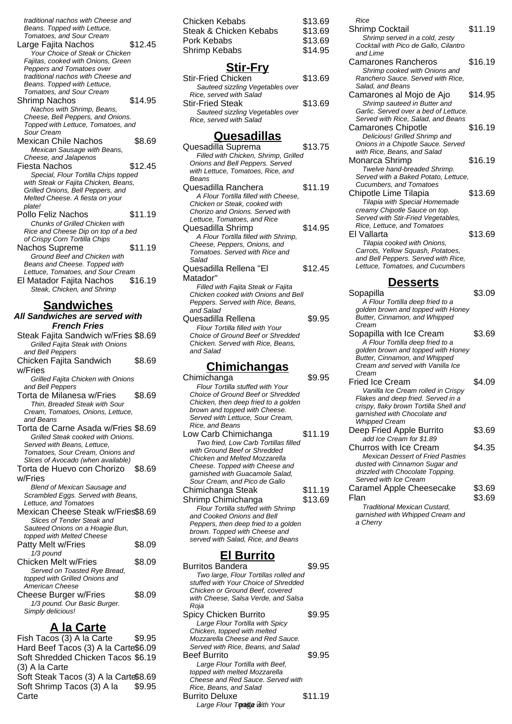traditional nachos with Cheese and Beans. Topped with Lettuce,

Tomatoes, and Sour Cream Large Fajita Nachos \$12.45 Your Choice of Steak or Chicken Fajitas, cooked with Onions, Green Peppers and Tomatoes over traditional nachos with Cheese and Beans. Topped with Lettuce, Tomatoes, and Sour Cream Shrimp Nachos \$14.95 Nachos with Shrimp, Beans, Cheese, Bell Peppers, and Onions. Topped with Lettuce, Tomatoes, and Sour Cream Mexican Chile Nachos \$8.69 Mexican Sausage with Beans, Cheese, and Jalapenos Fiesta Nachos **\$12.45** Special, Flour Tortilla Chips topped with Steak or Fajita Chicken, Beans, Grilled Onions, Bell Peppers, and Melted Cheese. A fiesta on your plate! Pollo Feliz Nachos \$11.19 Chunks of Grilled Chicken with Rice and Cheese Dip on top of a bed of Crispy Corn Tortilla Chips Nachos Supreme \$11.19 Ground Beef and Chicken with Beans and Cheese. Topped with Lettuce, Tomatoes, and Sour Cream El Matador Fajita Nachos \$16.19

# **Sandwiches**

Steak, Chicken, and Shrimp

**All Sandwiches are served with French Fries** Steak Fajita Sandwich w/Fries \$8.69 Grilled Fajita Steak with Onions and Bell Peppers Chicken Fajita Sandwich w/Fries \$8.69 Grilled Fajita Chicken with Onions and Bell Peppers Torta de Milanesa w/Fries \$8.69 Thin, Breaded Steak with Sour Cream, Tomatoes, Onions, Lettuce, and Beans Torta de Carne Asada w/Fries \$8.69 Grilled Steak cooked with Onions. Served with Beans, Lettuce, Tomatoes, Sour Cream, Onions and Slices of Avocado (when available) Torta de Huevo con Chorizo w/Fries \$8.69 Blend of Mexican Sausage and Scrambled Eggs. Served with Beans, Lettuce, and Tomatoes Mexican Cheese Steak w/Fries\$8.69 Slices of Tender Steak and Sauteed Onions on a Hoagie Bun, topped with Melted Cheese Patty Melt w/Fries \$8.09  $1/3$  pound Chicken Melt w/Fries \$8.09 Served on Toasted Rye Bread, topped with Grilled Onions and American Cheese Cheese Burger w/Fries \$8.09 1/3 pound. Our Basic Burger. Simply delicious!

### **A la Carte**

Fish Tacos (3) A la Carte \$9.95 Hard Beef Tacos (3) A la Carte\$6.09 Soft Shredded Chicken Tacos \$6.19 (3) A la Carte Soft Steak Tacos (3) A la Carte\$8.69 Soft Shrimp Tacos (3) A la **Carte** \$9.95

| Chicken Kebabs         | \$13.69 |
|------------------------|---------|
| Steak & Chicken Kebabs | \$13.69 |
| Pork Kebabs            | \$13.69 |
| Shrimp Kebabs          | \$14.95 |
|                        |         |

### **Stir-Fry**

| Stir-Fried Chicken               | \$13.69 |
|----------------------------------|---------|
| Sauteed sizzling Vegetables over |         |
| Rice, served with Salad          |         |
| <b>Stir-Fried Steak</b>          | \$13.69 |
| Sauteed sizzling Vegetables over |         |
| Rice, served with Salad          |         |
|                                  |         |

### **Quesadillas**

| Quesadilla Suprema                       | \$13.75 |
|------------------------------------------|---------|
| Filled with Chicken, Shrimp, Grilled     |         |
| Onions and Bell Peppers. Served          |         |
| with Lettuce, Tomatoes, Rice, and        |         |
| Beans                                    |         |
| Quesadilla Ranchera                      | \$11.19 |
| A Flour Tortilla filled with Cheese.     |         |
| Chicken or Steak, cooked with            |         |
| Chorizo and Onions. Served with          |         |
| Lettuce, Tomatoes, and Rice              |         |
| Quesadilla Shrimp                        | \$14.95 |
| A Flour Tortilla filled with Shrimp,     |         |
| Cheese, Peppers, Onions, and             |         |
| Tomatoes. Served with Rice and           |         |
| Salad                                    |         |
| Quesadilla Rellena "El                   | \$12.45 |
| Matador"                                 |         |
| Filled with Fajita Steak or Fajita       |         |
| Chicken cooked with Onions and Bell      |         |
| Peppers. Served with Rice, Beans,        |         |
| and Salad                                |         |
| Quesadilla Rellena                       | \$9.95  |
| Flour Tortilla filled with Your          |         |
| Choice of Ground Beef or Shredded        |         |
| Chicken. Served with Rice, Beans,        |         |
| and Salad                                |         |
|                                          |         |
| <u>Chimichangas</u>                      |         |
| Chimichanga                              | \$9.95  |
| Flour Tortilla stuffed with Your         |         |
| <b>Choice of Ground Beef or Shredded</b> |         |

- Chicken, then deep fried to a golden brown and topped with Cheese. Served with Lettuce, Sour Cream, Rice, and Beans Low Carb Chimichanga \$11.19 Two fried, Low Carb Tortillas filled with Ground Beef or Shredded Chicken and Melted Mozzarella Cheese. Topped with Cheese and garnished with Guacamole Salad, Sour Cream, and Pico de Gallo Chimichanga Steak \$11.19 Shrimp Chimichanga  $$13.69$ Flour Tortilla stuffed with Shrimp and Cooked Onions and Bell
- Peppers, then deep fried to a golden brown. Topped with Cheese and served with Salad, Rice, and Beans

## **El Burrito**

Burritos Bandera **\$9.95** Two large, Flour Tortillas rolled and stuffed with Your Choice of Shredded Chicken or Ground Beef, covered with Cheese, Salsa Verde, and Salsa Roja Spicy Chicken Burrito \$9.95 Large Flour Tortilla with Spicy Chicken, topped with melted Mozzarella Cheese and Red Sauce. Served with Rice, Beans, and Salad Beef Burrito \$9.95 Large Flour Tortilla with Beef, topped with melted Mozzarella Cheese and Red Sauce. Served with Rice, Beans, and Salad Burrito Deluxe \$11.19 Large Flour Tortige with Your

| Rice                                                                |         |
|---------------------------------------------------------------------|---------|
| Shrimp Cocktail                                                     | \$11.19 |
| Shrimp served in a cold, zesty                                      |         |
| Cocktail with Pico de Gallo, Cilantro                               |         |
| and Lime                                                            |         |
| Camarones Rancheros                                                 | \$16.19 |
| Shrimp cooked with Onions and                                       |         |
| Ranchero Sauce. Served with Rice.                                   |         |
| Salad, and Beans                                                    | \$14.95 |
| Camarones al Mojo de Ajo                                            |         |
| Shrimp sauteed in Butter and                                        |         |
| Garlic. Served over a bed of Lettuce.                               |         |
| Served with Rice, Salad, and Beans                                  | \$16.19 |
| <b>Camarones Chipotle</b>                                           |         |
| Delicious! Grilled Shrimp and<br>Onions in a Chipotle Sauce. Served |         |
| with Rice, Beans, and Salad                                         |         |
| Monarca Shrimp                                                      | \$16.19 |
| Twelve hand-breaded Shrimp.                                         |         |
| Served with a Baked Potato, Lettuce,                                |         |
| Cucumbers, and Tomatoes                                             |         |
| Chipotle Lime Tilapia                                               | \$13.69 |
| Tilapia with Special Homemade                                       |         |
| creamy Chipotle Sauce on top.                                       |         |
| Served with Stir-Fried Vegetables,                                  |         |
| Rice, Lettuce, and Tomatoes                                         |         |
| El Vallarta                                                         | \$13.69 |
| Tilapia cooked with Onions,                                         |         |
| Carrots, Yellow Squash, Potatoes,                                   |         |
| and Bell Peppers. Served with Rice,                                 |         |
| Lettuce, Tomatoes, and Cucumbers                                    |         |
|                                                                     |         |
| <u>Desserts</u>                                                     |         |
| Sopapilla                                                           | \$3.09  |
| A Flour Tortilla deep fried to a                                    |         |
| golden brown and topped with Honey                                  |         |
| Butter, Cinnamon, and Whipped                                       |         |
| Cream                                                               |         |
| Sopapilla with Ice Cream                                            | \$3.69  |
| A Flour Tortilla deep fried to a                                    |         |
| golden brown and topped with Honey                                  |         |
| Butter, Cinnamon, and Whipped                                       |         |
| Cream and served with Vanilla Ice                                   |         |
| Cream                                                               |         |

| Cream                                    |        |
|------------------------------------------|--------|
| <b>Fried Ice Cream</b>                   | \$4.09 |
| Vanilla Ice Cream rolled in Crispy       |        |
| Flakes and deep fried. Served in a       |        |
| crispy, flaky brown Tortilla Shell and   |        |
| garnished with Chocolate and             |        |
| <b>Whipped Cream</b>                     |        |
| Deep Fried Apple Burrito                 | \$3.69 |
| add Ice Cream for \$1.89                 |        |
| Churros with Ice Cream                   | \$4.35 |
| <b>Mexican Dessert of Fried Pastries</b> |        |
| dusted with Cinnamon Sugar and           |        |
| drizzled with Chocolate Topping.         |        |
| Served with Ice Cream                    |        |
| Caramel Apple Cheesecake                 | \$3.69 |
| Flan                                     |        |
|                                          |        |

Traditional Mexican Custard, garnished with Whipped Cream and a Cherry